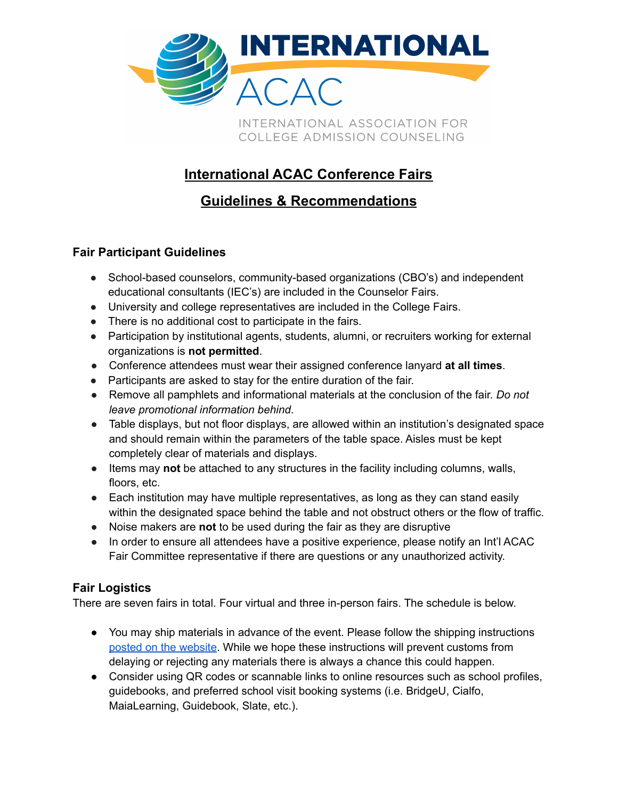

INTERNATIONAL ASSOCIATION FOR COLLEGE ADMISSION COUNSELING

# **International ACAC Conference Fairs**

## **Guidelines & Recommendations**

## **Fair Participant Guidelines**

- School-based counselors, community-based organizations (CBO's) and independent educational consultants (IEC's) are included in the Counselor Fairs.
- University and college representatives are included in the College Fairs.
- There is no additional cost to participate in the fairs.
- Participation by institutional agents, students, alumni, or recruiters working for external organizations is **not permitted**.
- Conference attendees must wear their assigned conference lanyard **at all times**.
- Participants are asked to stay for the entire duration of the fair.
- Remove all pamphlets and informational materials at the conclusion of the fair. *Do not leave promotional information behind*.
- Table displays, but not floor displays, are allowed within an institution's designated space and should remain within the parameters of the table space. Aisles must be kept completely clear of materials and displays.
- Items may **not** be attached to any structures in the facility including columns, walls, floors, etc.
- Each institution may have multiple representatives, as long as they can stand easily within the designated space behind the table and not obstruct others or the flow of traffic.
- Noise makers are **not** to be used during the fair as they are disruptive
- In order to ensure all attendees have a positive experience, please notify an Int'l ACAC Fair Committee representative if there are questions or any unauthorized activity.

### **Fair Logistics**

There are seven fairs in total. Four virtual and three in-person fairs. The schedule is below.

- You may ship materials in advance of the event. Please follow the shipping instructions posted on the [website.](https://intlacac.memberclicks.net/faq--college-and-counselor-fairs) While we hope these instructions will prevent customs from delaying or rejecting any materials there is always a chance this could happen.
- *●* Consider using QR codes or scannable links to online resources such as school profiles, guidebooks, and preferred school visit booking systems (i.e. BridgeU, Cialfo, MaiaLearning, Guidebook, Slate, etc.).